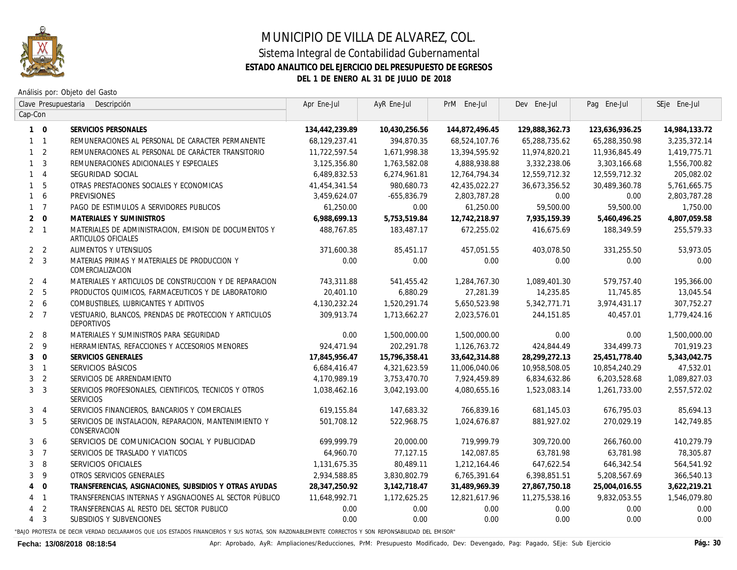

## MUNICIPIO DE VILLA DE ALVAREZ, COL. Sistema Integral de Contabilidad Gubernamental **ESTADO ANALITICO DEL EJERCICIO DEL PRESUPUESTO DE EGRESOS DEL 1 DE ENERO AL 31 DE JULIO DE 2018**

Análisis por: Objeto del Gasto

| Clave Presupuestaria<br>Descripción |                |                                                                              | Apr Ene-Jul    | AyR Ene-Jul   | PrM Ene-Jul     | Dev Ene-Jul    | Paq Ene-Jul    | SEje Ene-Jul  |
|-------------------------------------|----------------|------------------------------------------------------------------------------|----------------|---------------|-----------------|----------------|----------------|---------------|
| Cap-Con                             |                |                                                                              |                |               |                 |                |                |               |
|                                     | $1 \quad 0$    | SERVICIOS PERSONALES                                                         | 134,442,239.89 | 10,430,256.56 | 144,872,496.45  | 129,888,362.73 | 123,636,936.25 | 14,984,133.72 |
|                                     | $1 \quad 1$    | REMUNERACIONES AL PERSONAL DE CARACTER PERMANENTE                            | 68,129,237.41  | 394,870.35    | 68,524,107.76   | 65,288,735.62  | 65,288,350.98  | 3,235,372.14  |
|                                     | 1 <sub>2</sub> | REMUNERACIONES AL PERSONAL DE CARÁCTER TRANSITORIO                           | 11,722,597.54  | 1,671,998.38  | 13,394,595.92   | 11,974,820.21  | 11,936,845.49  | 1,419,775.71  |
|                                     | 1 <sup>3</sup> | REMUNERACIONES ADICIONALES Y ESPECIALES                                      | 3,125,356.80   | 1,763,582.08  | 4,888,938.88    | 3,332,238.06   | 3,303,166.68   | 1,556,700.82  |
|                                     | $1 \quad 4$    | SEGURIDAD SOCIAL                                                             | 6,489,832.53   | 6,274,961.81  | 12,764,794.34   | 12,559,712.32  | 12,559,712.32  | 205,082.02    |
|                                     | $1\quad 5$     | OTRAS PRESTACIONES SOCIALES Y ECONOMICAS                                     | 41,454,341.54  | 980,680.73    | 42,435,022.27   | 36,673,356.52  | 30,489,360.78  | 5,761,665.75  |
|                                     | $1\quad 6$     | <b>PREVISIONES</b>                                                           | 3,459,624.07   | -655,836.79   | 2,803,787.28    | 0.00           | 0.00           | 2,803,787.28  |
|                                     | $1 \quad 7$    | PAGO DE ESTIMULOS A SERVIDORES PUBLICOS                                      | 61,250.00      | 0.00          | 61,250.00       | 59,500.00      | 59,500.00      | 1,750.00      |
|                                     | $2 \quad 0$    | MATERIALES Y SUMINISTROS                                                     | 6,988,699.13   | 5,753,519.84  | 12,742,218.97   | 7,935,159.39   | 5,460,496.25   | 4,807,059.58  |
|                                     | $2 \quad 1$    | MATERIALES DE ADMINISTRACION. EMISION DE DOCUMENTOS Y<br>ARTICULOS OFICIALES | 488,767.85     | 183.487.17    | 672.255.02      | 416.675.69     | 188,349,59     | 255.579.33    |
|                                     | 2 <sub>2</sub> | ALIMENTOS Y UTENSILIOS                                                       | 371,600.38     | 85,451.17     | 457,051.55      | 403,078.50     | 331,255.50     | 53,973.05     |
|                                     | 2 <sup>3</sup> | MATERIAS PRIMAS Y MATERIALES DE PRODUCCION Y<br>COMERCIALIZACION             | 0.00           | 0.00          | 0.00            | 0.00           | 0.00           | 0.00          |
|                                     | 2 <sub>1</sub> | MATERIALES Y ARTICULOS DE CONSTRUCCION Y DE REPARACION                       | 743.311.88     | 541.455.42    | 1,284,767.30    | 1,089,401,30   | 579,757.40     | 195,366.00    |
|                                     | 2 <sub>5</sub> | PRODUCTOS QUIMICOS, FARMACEUTICOS Y DE LABORATORIO                           | 20,401.10      | 6,880.29      | 27,281.39       | 14,235.85      | 11,745.85      | 13,045.54     |
|                                     | $2\quad 6$     | COMBUSTIBLES, LUBRICANTES Y ADITIVOS                                         | 4,130,232.24   | 1,520,291.74  | 5,650,523.98    | 5,342,771.71   | 3,974,431.17   | 307,752.27    |
|                                     | 2 <sub>7</sub> | VESTUARIO, BLANCOS, PRENDAS DE PROTECCION Y ARTICULOS<br>DEPORTIVOS          | 309,913,74     | 1,713,662.27  | 2,023,576.01    | 244, 151.85    | 40,457.01      | 1,779,424.16  |
|                                     | $2 \quad 8$    | MATERIALES Y SUMINISTROS PARA SEGURIDAD                                      | 0.00           | 1,500,000.00  | 1,500,000.00    | 0.00           | 0.00           | 1,500,000.00  |
|                                     | 2 <sup>9</sup> | HERRAMIENTAS, REFACCIONES Y ACCESORIOS MENORES                               | 924,471.94     | 202,291.78    | 1, 126, 763. 72 | 424,844.49     | 334,499.73     | 701,919.23    |
| 3 <sup>1</sup>                      | $\overline{0}$ | SERVICIOS GENERALES                                                          | 17,845,956.47  | 15,796,358.41 | 33,642,314.88   | 28,299,272.13  | 25,451,778.40  | 5,343,042.75  |
|                                     | 3 <sub>1</sub> | SERVICIOS BÁSICOS                                                            | 6,684,416.47   | 4,321,623.59  | 11,006,040.06   | 10,958,508.05  | 10,854,240.29  | 47,532.01     |
|                                     | 3 <sub>2</sub> | SERVICIOS DE ARRENDAMIENTO                                                   | 4,170,989,19   | 3,753,470.70  | 7.924.459.89    | 6,834,632.86   | 6,203,528.68   | 1,089,827.03  |
|                                     | 3 <sup>3</sup> | SERVICIOS PROFESIONALES, CIENTIFICOS, TECNICOS Y OTROS<br>SERVICIOS          | 1,038,462.16   | 3,042,193.00  | 4,080,655.16    | 1,523,083,14   | 1,261,733.00   | 2,557,572.02  |
|                                     | 3 <sub>4</sub> | SERVICIOS FINANCIEROS, BANCARIOS Y COMERCIALES                               | 619,155.84     | 147,683.32    | 766,839.16      | 681,145.03     | 676,795.03     | 85,694.13     |
|                                     | 3 <sub>5</sub> | SERVICIOS DE INSTALACION, REPARACION, MANTENIMIENTO Y<br>CONSERVACION        | 501,708.12     | 522,968.75    | 1,024,676.87    | 881,927.02     | 270,029.19     | 142,749.85    |
|                                     | 36             | SERVICIOS DE COMUNICACION SOCIAL Y PUBLICIDAD                                | 699,999,79     | 20.000.00     | 719,999.79      | 309,720.00     | 266,760.00     | 410.279.79    |
|                                     | 3 <sub>7</sub> | SERVICIOS DE TRASLADO Y VIATICOS                                             | 64,960.70      | 77,127.15     | 142,087.85      | 63,781.98      | 63,781.98      | 78,305.87     |
| 3                                   | 8              | SERVICIOS OFICIALES                                                          | 1,131,675.35   | 80,489.11     | 1,212,164.46    | 647,622.54     | 646,342.54     | 564,541.92    |
|                                     | 3 <sup>9</sup> | OTROS SERVICIOS GENERALES                                                    | 2,934,588.85   | 3,830,802.79  | 6,765,391.64    | 6,398,851.51   | 5,208,567.69   | 366,540.13    |
|                                     | $4 \quad 0$    | TRANSFERENCIAS, ASIGNACIONES, SUBSIDIOS Y OTRAS AYUDAS                       | 28,347,250.92  | 3,142,718.47  | 31,489,969.39   | 27.867.750.18  | 25,004,016.55  | 3,622,219.21  |
|                                     | $4 \quad 1$    | TRANSFERENCIAS INTERNAS Y ASIGNACIONES AL SECTOR PÚBLICO                     | 11,648,992.71  | 1,172,625.25  | 12.821.617.96   | 11,275,538.16  | 9,832,053,55   | 1,546,079.80  |
|                                     | 4 <sub>2</sub> | TRANSFERENCIAS AL RESTO DEL SECTOR PUBLICO                                   | 0.00           | 0.00          | 0.00            | 0.00           | 0.00           | 0.00          |
|                                     | $4 \quad 3$    | SUBSIDIOS Y SUBVENCIONES                                                     | 0.00           | 0.00          | 0.00            | 0.00           | 0.00           | 0.00          |
|                                     |                |                                                                              |                |               |                 |                |                |               |

"BAJO PROTESTA DE DECIR VERDAD DECLARAMOS QUE LOS ESTADOS FINANCIEROS Y SUS NOTAS, SON RAZONABLEMENTE CORRECTOS Y SON REPONSABILIDAD DEL EMISOR"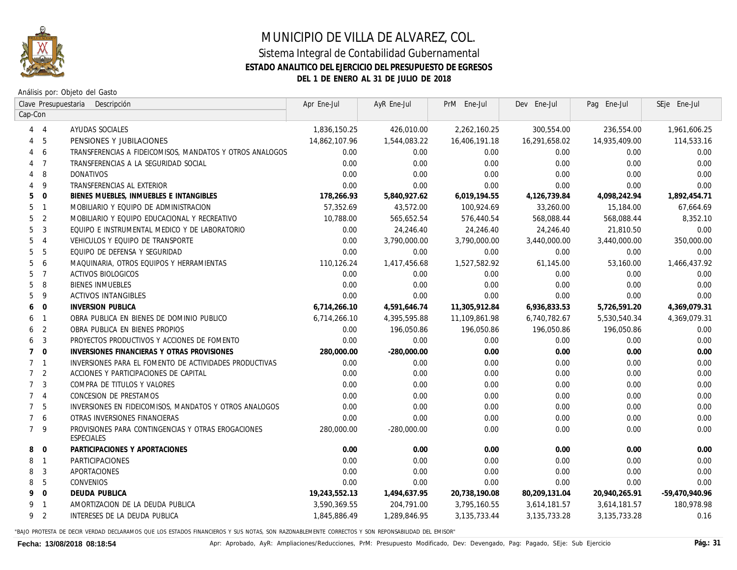

## MUNICIPIO DE VILLA DE ALVAREZ, COL. Sistema Integral de Contabilidad Gubernamental **ESTADO ANALITICO DEL EJERCICIO DEL PRESUPUESTO DE EGRESOS DEL 1 DE ENERO AL 31 DE JULIO DE 2018**

Análisis por: Objeto del Gasto

| Clave Presupuestaria<br>Descripción |                         |                                                                  | Apr Ene-Jul   | AyR Ene-Jul   | PrM Ene-Jul    | Dev Ene-Jul    | Pag Ene-Jul    | SEje Ene-Jul   |
|-------------------------------------|-------------------------|------------------------------------------------------------------|---------------|---------------|----------------|----------------|----------------|----------------|
| Cap-Con                             |                         |                                                                  |               |               |                |                |                |                |
|                                     | $4 \quad 4$             | AYUDAS SOCIALES                                                  | 1,836,150.25  | 426,010.00    | 2,262,160.25   | 300,554.00     | 236,554.00     | 1,961,606.25   |
| 4                                   | - 5                     | PENSIONES Y JUBILACIONES                                         | 14,862,107.96 | 1,544,083.22  | 16,406,191.18  | 16,291,658.02  | 14,935,409.00  | 114,533.16     |
| 4                                   | 6                       | TRANSFERENCIAS A FIDEICOMISOS, MANDATOS Y OTROS ANALOGOS         | 0.00          | 0.00          | 0.00           | 0.00           | 0.00           | 0.00           |
|                                     | 4 <sub>7</sub>          | TRANSFERENCIAS A LA SEGURIDAD SOCIAL                             | 0.00          | 0.00          | 0.00           | 0.00           | 0.00           | 0.00           |
| 4                                   | - 8                     | DONATIVOS                                                        | 0.00          | 0.00          | 0.00           | 0.00           | 0.00           | 0.00           |
|                                     | $4\overline{9}$         | TRANSFERENCIAS AL EXTERIOR                                       | 0.00          | 0.00          | 0.00           | 0.00           | 0.00           | 0.00           |
|                                     | $5\quad 0$              | BIENES MUEBLES, INMUEBLES E INTANGIBLES                          | 178,266.93    | 5,840,927.62  | 6,019,194.55   | 4,126,739.84   | 4,098,242.94   | 1,892,454.71   |
|                                     | 5 <sub>1</sub>          | MOBILIARIO Y EQUIPO DE ADMINISTRACION                            | 57,352.69     | 43,572.00     | 100,924.69     | 33,260.00      | 15,184.00      | 67,664.69      |
|                                     | 5 <sub>2</sub>          | MOBILIARIO Y EQUIPO EDUCACIONAL Y RECREATIVO                     | 10,788.00     | 565,652.54    | 576,440.54     | 568,088.44     | 568,088.44     | 8,352.10       |
| 5                                   | 3                       | EQUIPO E INSTRUMENTAL MEDICO Y DE LABORATORIO                    | 0.00          | 24,246.40     | 24,246.40      | 24,246.40      | 21,810.50      | 0.00           |
| 5                                   | $\overline{4}$          | VEHICULOS Y EQUIPO DE TRANSPORTE                                 | 0.00          | 3,790,000.00  | 3,790,000.00   | 3,440,000.00   | 3,440,000.00   | 350,000.00     |
| 5                                   | 5                       | EQUIPO DE DEFENSA Y SEGURIDAD                                    | 0.00          | 0.00          | 0.00           | 0.00           | 0.00           | 0.00           |
| 5                                   | 6                       | MAQUINARIA, OTROS EQUIPOS Y HERRAMIENTAS                         | 110,126.24    | 1,417,456.68  | 1,527,582.92   | 61,145.00      | 53,160.00      | 1,466,437.92   |
| 5                                   | $\overline{7}$          | ACTIVOS BIOLOGICOS                                               | 0.00          | 0.00          | 0.00           | 0.00           | 0.00           | 0.00           |
| 5                                   | 8                       | <b>BIENES INNUEBLES</b>                                          | 0.00          | 0.00          | 0.00           | 0.00           | 0.00           | 0.00           |
| 5                                   | - 9                     | <b>ACTIVOS INTANGIBLES</b>                                       | 0.00          | 0.00          | 0.00           | 0.00           | 0.00           | 0.00           |
| 6                                   | $\overline{\mathbf{0}}$ | <b>INVERSION PUBLICA</b>                                         | 6,714,266.10  | 4,591,646.74  | 11,305,912.84  | 6,936,833.53   | 5,726,591.20   | 4,369,079.31   |
|                                     | 6 1                     | OBRA PUBLICA EN BIENES DE DOMINIO PUBLICO                        | 6,714,266.10  | 4,395,595.88  | 11,109,861.98  | 6,740,782.67   | 5,530,540.34   | 4,369,079.31   |
| 6                                   | $\overline{2}$          | OBRA PUBLICA EN BIENES PROPIOS                                   | 0.00          | 196,050.86    | 196,050.86     | 196,050.86     | 196,050.86     | 0.00           |
| 6                                   | -3                      | PROYECTOS PRODUCTIVOS Y ACCIONES DE FOMENTO                      | 0.00          | 0.00          | 0.00           | 0.00           | 0.00           | 0.00           |
|                                     | $7\quad 0$              | INVERSIONES FINANCIERAS Y OTRAS PROVISIONES                      | 280,000.00    | $-280,000.00$ | 0.00           | 0.00           | 0.00           | 0.00           |
|                                     | 7 <sub>1</sub>          | INVERSIONES PARA EL FOMENTO DE ACTIVIDADES PRODUCTIVAS           | 0.00          | 0.00          | 0.00           | 0.00           | 0.00           | 0.00           |
|                                     | 7 <sup>2</sup>          | ACCIONES Y PARTICIPACIONES DE CAPITAL                            | 0.00          | 0.00          | 0.00           | 0.00           | 0.00           | 0.00           |
|                                     | 7 <sup>3</sup>          | COMPRA DE TITULOS Y VALORES                                      | 0.00          | 0.00          | 0.00           | 0.00           | 0.00           | 0.00           |
|                                     | 7 <sub>4</sub>          | CONCESION DE PRESTAMOS                                           | 0.00          | 0.00          | 0.00           | 0.00           | 0.00           | 0.00           |
|                                     | 7 <sub>5</sub>          | INVERSIONES EN FIDEICOMISOS, MANDATOS Y OTROS ANALOGOS           | 0.00          | 0.00          | 0.00           | 0.00           | 0.00           | 0.00           |
|                                     | 7 6                     | OTRAS INVERSIONES FINANCIERAS                                    | 0.00          | 0.00          | 0.00           | 0.00           | 0.00           | 0.00           |
|                                     | 7 <sup>9</sup>          | PROVISIONES PARA CONTINGENCIAS Y OTRAS EROGACIONES<br>ESPECIALES | 280,000,00    | -280,000.00   | 0.00           | 0.00           | 0.00           | 0.00           |
| 8                                   | $\overline{0}$          | PARTICIPACIONES Y APORTACIONES                                   | 0.00          | 0.00          | 0.00           | 0.00           | 0.00           | 0.00           |
|                                     | 8 1                     | PARTICIPACIONES                                                  | 0.00          | 0.00          | 0.00           | 0.00           | 0.00           | 0.00           |
| 8                                   | -3                      | APORTACIONES                                                     | 0.00          | 0.00          | 0.00           | 0.00           | 0.00           | 0.00           |
| 8                                   | 5                       | CONVENIOS                                                        | 0.00          | 0.00          | 0.00           | 0.00           | 0.00           | 0.00           |
| 9                                   | $\overline{0}$          | <b>DEUDA PUBLICA</b>                                             | 19,243,552.13 | 1,494,637.95  | 20,738,190.08  | 80,209,131.04  | 20,940,265.91  | -59,470,940.96 |
|                                     | 9 1                     | AMORTIZACION DE LA DEUDA PUBLICA                                 | 3,590,369.55  | 204,791.00    | 3,795,160.55   | 3,614,181.57   | 3,614,181.57   | 180,978.98     |
|                                     | 9 <sub>2</sub>          | INTERESES DE LA DEUDA PUBLICA                                    | 1,845,886.49  | 1,289,846.95  | 3, 135, 733.44 | 3, 135, 733.28 | 3, 135, 733.28 | 0.16           |
|                                     |                         |                                                                  |               |               |                |                |                |                |

"BAJO PROTESTA DE DECIR VERDAD DECLARAMOS QUE LOS ESTADOS FINANCIEROS Y SUS NOTAS, SON RAZONABLEMENTE CORRECTOS Y SON REPONSABILIDAD DEL EMISOR"